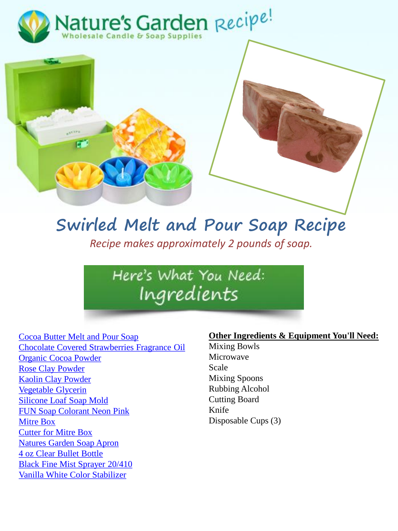



## **Swirled Melt and Pour Soap Recipe** *Recipe makes approximately 2 pounds of soap.*

Here's What You Need: Ingredients

[Cocoa Butter Melt and Pour Soap](http://www.naturesgardencandles.com/cocoa-butter-melt-and-pour-soap) [Chocolate Covered Strawberries Fragrance Oil](http://www.naturesgardencandles.com/chocolate-covered-strawberries-fragrance-oil) [Organic Cocoa Powder](http://www.naturesgardencandles.com/cocoa-powder-organic.html) [Rose Clay Powder](http://www.naturesgardencandles.com/rose-clay-powder.html)  [Kaolin Clay Powder](http://www.naturesgardencandles.com/kaolin-clay-powder-cosmetics.html) [Vegetable Glycerin](http://www.naturesgardencandles.com/vegetable-glycerin) [Silicone Loaf Soap Mold](http://www.naturesgardencandles.com/silicone-soap-loaf-molds) [FUN Soap Colorant Neon Pink](http://www.naturesgardencandles.com/soap-coloring/neon-pink-fun-soap-colorant) [Mitre Box](http://www.naturesgardencandles.com/soap-cutting-mitre-box) [Cutter for Mitre Box](http://www.naturesgardencandles.com/soap-cutter) [Natures Garden Soap Apron](http://www.naturesgardencandles.com/soap-apron) 4 oz [Clear Bullet Bottle](http://www.naturesgardencandles.com/4-oz-clear-pet-bullet-bottles) [Black Fine Mist Sprayer 20/410](http://www.naturesgardencandles.com/black-fine-mist-sprayers-20-410) [Vanilla White Color Stabilizer](http://www.naturesgardencandles.com/vanilla-white-color-stabilizer)

#### **Other Ingredients & Equipment You'll Need:**

Mixing Bowls Microwave Scale Mixing Spoons Rubbing Alcohol Cutting Board Knife Disposable Cups (3)